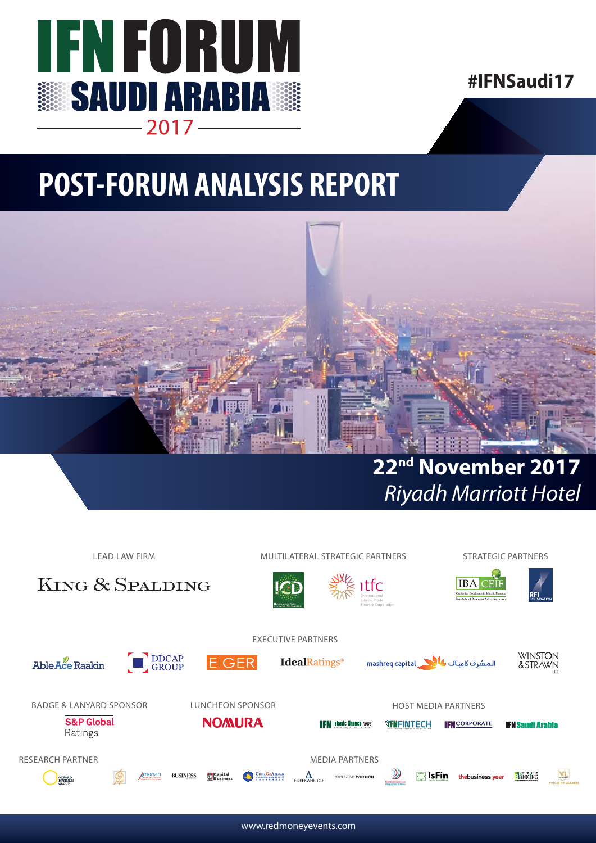

**#IFNSaudi17**

# **POST-FORUM ANALYSIS REPORT**



## **22nd November 2017** Riyadh Marriott Hotel

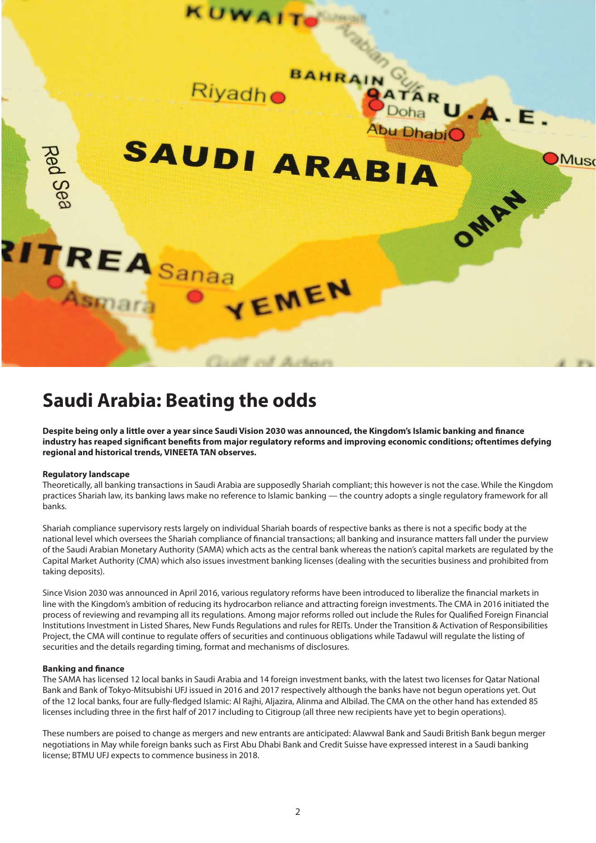

## **Saudi Arabia: Beating the odds**

Despite being only a little over a year since Saudi Vision 2030 was announced, the Kingdom's Islamic banking and finance industry has reaped significant benefits from major regulatory reforms and improving economic conditions; oftentimes defying **regional and historical trends, VINEETA TAN observes.**

### **Regulatory landscape**

Theoretically, all banking transactions in Saudi Arabia are supposedly Shariah compliant; this however is not the case. While the Kingdom practices Shariah law, its banking laws make no reference to Islamic banking — the country adopts a single regulatory framework for all banks.

Shariah compliance supervisory rests largely on individual Shariah boards of respective banks as there is not a specific body at the national level which oversees the Shariah compliance of financial transactions; all banking and insurance matters fall under the purview of the Saudi Arabian Monetary Authority (SAMA) which acts as the central bank whereas the nation's capital markets are regulated by the Capital Market Authority (CMA) which also issues investment banking licenses (dealing with the securities business and prohibited from taking deposits).

Since Vision 2030 was announced in April 2016, various regulatory reforms have been introduced to liberalize the financial markets in line with the Kingdom's ambition of reducing its hydrocarbon reliance and attracting foreign investments. The CMA in 2016 initiated the process of reviewing and revamping all its regulations. Among major reforms rolled out include the Rules for Qualified Foreign Financial Institutions Investment in Listed Shares, New Funds Regulations and rules for REITs. Under the Transition & Activation of Responsibilities Project, the CMA will continue to regulate offers of securities and continuous obligations while Tadawul will regulate the listing of securities and the details regarding timing, format and mechanisms of disclosures.

### **Banking and finance**

The SAMA has licensed 12 local banks in Saudi Arabia and 14 foreign investment banks, with the latest two licenses for Qatar National Bank and Bank of Tokyo-Mitsubishi UFJ issued in 2016 and 2017 respectively although the banks have not begun operations yet. Out of the 12 local banks, four are fully-fledged Islamic: Al Rajhi, Aljazira, Alinma and Albilad. The CMA on the other hand has extended 85 licenses including three in the first half of 2017 including to Citigroup (all three new recipients have yet to begin operations).

These numbers are poised to change as mergers and new entrants are anticipated: Alawwal Bank and Saudi British Bank begun merger negotiations in May while foreign banks such as First Abu Dhabi Bank and Credit Suisse have expressed interest in a Saudi banking license; BTMU UFJ expects to commence business in 2018.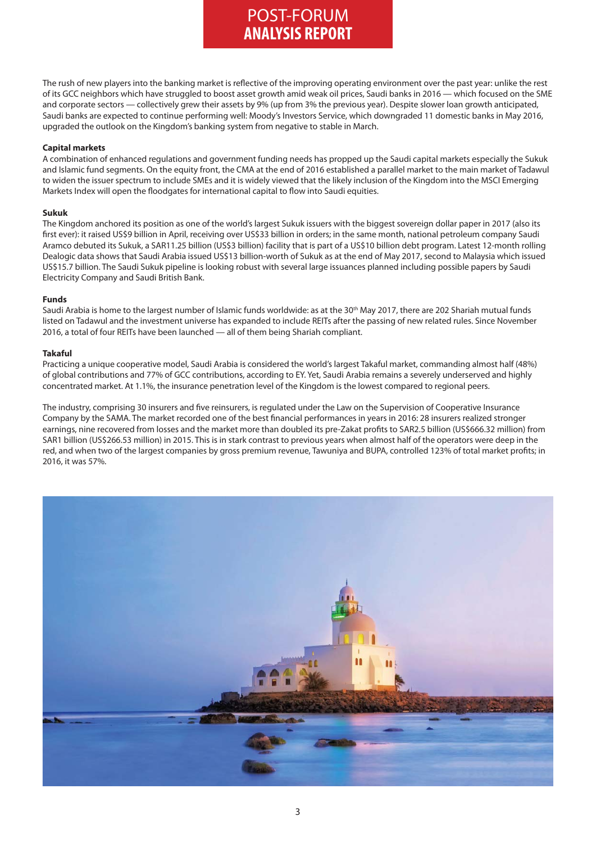The rush of new players into the banking market is reflective of the improving operating environment over the past year: unlike the rest of its GCC neighbors which have struggled to boost asset growth amid weak oil prices, Saudi banks in 2016 — which focused on the SME and corporate sectors — collectively grew their assets by 9% (up from 3% the previous year). Despite slower loan growth anticipated, Saudi banks are expected to continue performing well: Moody's Investors Service, which downgraded 11 domestic banks in May 2016, upgraded the outlook on the Kingdom's banking system from negative to stable in March.

### **Capital markets**

A combination of enhanced regulations and government funding needs has propped up the Saudi capital markets especially the Sukuk and Islamic fund segments. On the equity front, the CMA at the end of 2016 established a parallel market to the main market of Tadawul to widen the issuer spectrum to include SMEs and it is widely viewed that the likely inclusion of the Kingdom into the MSCI Emerging Markets Index will open the floodgates for international capital to flow into Saudi equities.

### **Sukuk**

The Kingdom anchored its position as one of the world's largest Sukuk issuers with the biggest sovereign dollar paper in 2017 (also its first ever): it raised US\$9 billion in April, receiving over US\$33 billion in orders; in the same month, national petroleum company Saudi Aramco debuted its Sukuk, a SAR11.25 billion (US\$3 billion) facility that is part of a US\$10 billion debt program. Latest 12-month rolling Dealogic data shows that Saudi Arabia issued US\$13 billion-worth of Sukuk as at the end of May 2017, second to Malaysia which issued US\$15.7 billion. The Saudi Sukuk pipeline is looking robust with several large issuances planned including possible papers by Saudi Electricity Company and Saudi British Bank.

### **Funds**

Saudi Arabia is home to the largest number of Islamic funds worldwide: as at the 30<sup>th</sup> May 2017, there are 202 Shariah mutual funds listed on Tadawul and the investment universe has expanded to include REITs after the passing of new related rules. Since November 2016, a total of four REITs have been launched — all of them being Shariah compliant.

### **Takaful**

Practicing a unique cooperative model, Saudi Arabia is considered the world's largest Takaful market, commanding almost half (48%) of global contributions and 77% of GCC contributions, according to EY. Yet, Saudi Arabia remains a severely underserved and highly concentrated market. At 1.1%, the insurance penetration level of the Kingdom is the lowest compared to regional peers.

The industry, comprising 30 insurers and five reinsurers, is regulated under the Law on the Supervision of Cooperative Insurance Company by the SAMA. The market recorded one of the best financial performances in years in 2016: 28 insurers realized stronger earnings, nine recovered from losses and the market more than doubled its pre-Zakat profits to SAR2.5 billion (US\$666.32 million) from SAR1 billion (US\$266.53 million) in 2015. This is in stark contrast to previous years when almost half of the operators were deep in the red, and when two of the largest companies by gross premium revenue, Tawuniya and BUPA, controlled 123% of total market profits; in 2016, it was 57%.

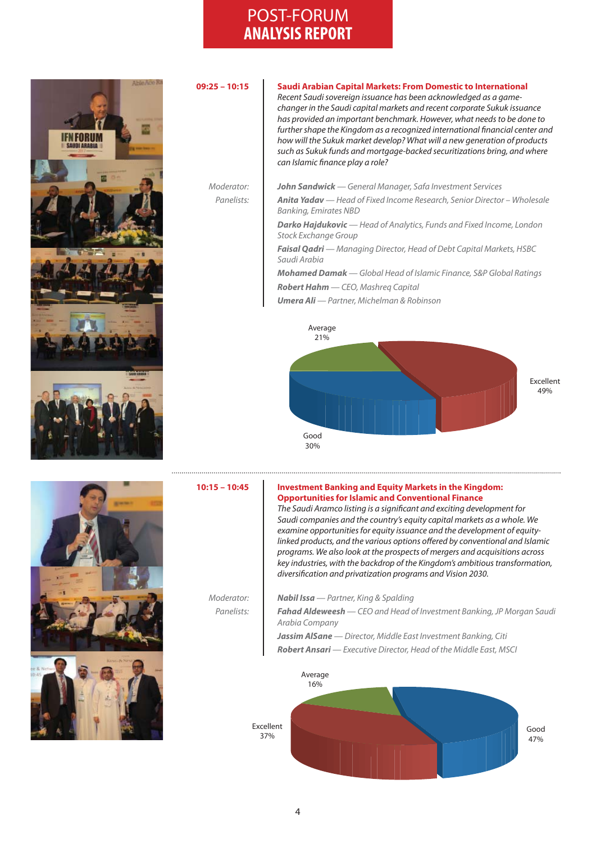



#### **09:25 – 10:15 Saudi Arabian Capital Markets: From Domestic to International**

Recent Saudi sovereign issuance has been acknowledged as a gamechanger in the Saudi capital markets and recent corporate Sukuk issuance has provided an important benchmark. However, what needs to be done to further shape the Kingdom as a recognized international financial center and how will the Sukuk market develop? What will a new generation of products such as Sukuk funds and mortgage-backed securitizations bring, and where can Islamic finance play a role?

Moderator: *John Sandwick* — General Manager, Safa Investment Services

Panelists: *Anita Yadav* — Head of Fixed Income Research, Senior Director – Wholesale Banking, Emirates NBD

> *Darko Hajdukovic* — Head of Analytics, Funds and Fixed Income, London Stock Exchange Group

*Faisal Qadri* — Managing Director, Head of Debt Capital Markets, HSBC Saudi Arabia

*Mohamed Damak* — Global Head of Islamic Finance, S&P Global Ratings

*Robert Hahm* — CEO, Mashreq Capital

*Umera Ali* — Partner, Michelman & Robinson



#### **10:15 – 10:45 Investment Banking and Equity Markets in the Kingdom: Opportunities for Islamic and Conventional Finance**

The Saudi Aramco listing is a significant and exciting development for Saudi companies and the country's equity capital markets as a whole. We examine opportunities for equity issuance and the development of equitylinked products, and the various options offered by conventional and Islamic programs. We also look at the prospects of mergers and acquisitions across key industries, with the backdrop of the Kingdom's ambitious transformation, diversification and privatization programs and Vision 2030.

Moderator: *Nabil Issa* — Partner, King & Spalding

Panelists: *Fahad Aldeweesh* — CEO and Head of Investment Banking, JP Morgan Saudi Arabia Company

*Jassim AlSane* — Director, Middle East Investment Banking, Citi

*Robert Ansari* — Executive Director, Head of the Middle East, MSCI

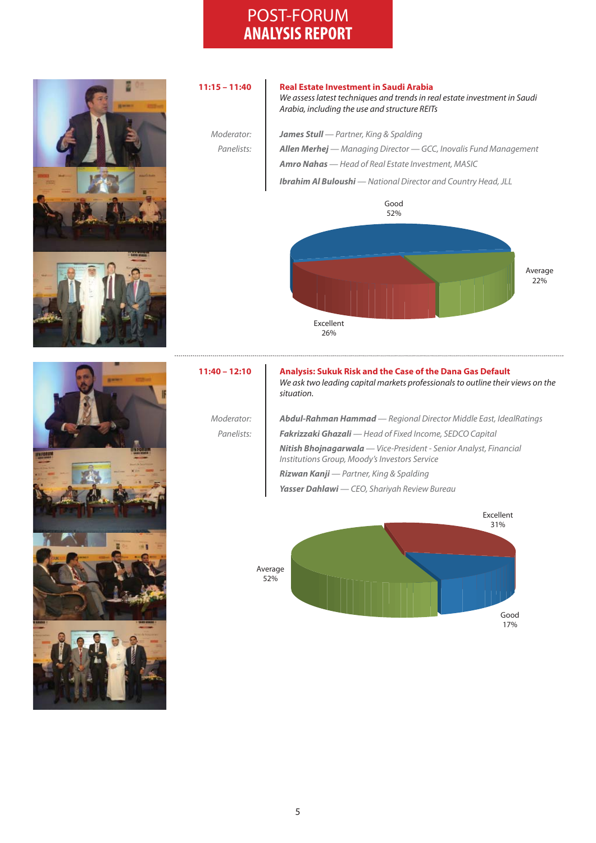



#### **11:15 – 11:40 Real Estate Investment in Saudi Arabia**

We assess latest techniques and trends in real estate investment in Saudi Arabia, including the use and structure REITs

Moderator: *James Stull* — Partner, King & Spalding

Panelists: *Allen Merhej* — Managing Director — GCC, Inovalis Fund Management *Amro Nahas* — Head of Real Estate Investment, MASIC

*Ibrahim Al Buloushi* — National Director and Country Head, JLL



#### **11:40 – 12:10 Analysis: Sukuk Risk and the Case of the Dana Gas Default**

We ask two leading capital markets professionals to outline their views on the situation.

Moderator: *Abdul-Rahman Hammad* — Regional Director Middle East, IdealRatings

Panelists: *Fakrizzaki Ghazali* — Head of Fixed Income, SEDCO Capital

*Nitish Bhojnagarwala* — Vice-President - Senior Analyst, Financial Institutions Group, Moody's Investors Service

*Rizwan Kanji* — Partner, King & Spalding *Yasser Dahlawi* — CEO, Shariyah Review Bureau

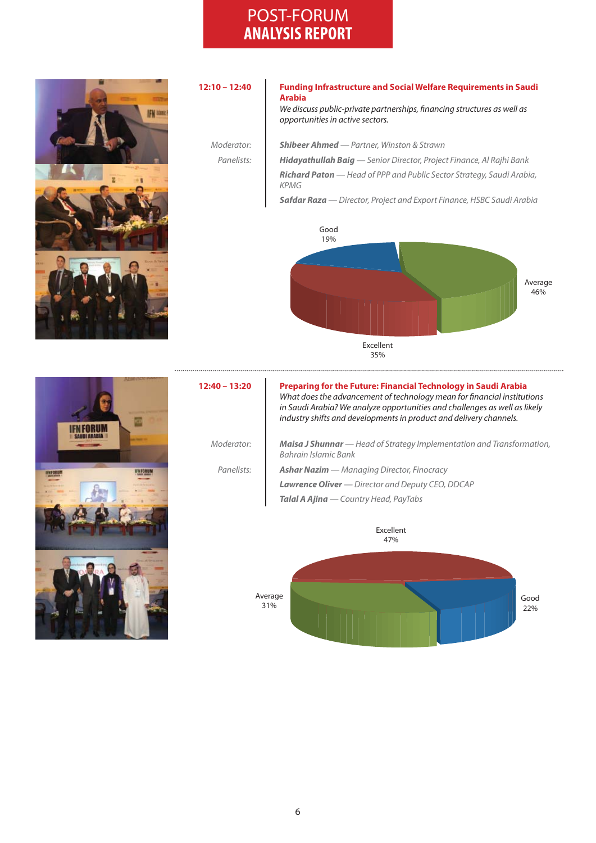

### **12:10 – 12:40 Funding Infrastructure and Social Welfare Requirements in Saudi Arabia**

We discuss public-private partnerships, financing structures as well as opportunities in active sectors.

Moderator: *Shibeer Ahmed* — Partner, Winston & Strawn

Panelists: *Hidayathullah Baig* — Senior Director, Project Finance, Al Rajhi Bank *Richard Paton* — Head of PPP and Public Sector Strategy, Saudi Arabia, KPMG

*Safdar Raza* — Director, Project and Export Finance, HSBC Saudi Arabia





**12:40 – 13:20 Preparing for the Future: Financial Technology in Saudi Arabia**

What does the advancement of technology mean for financial institutions in Saudi Arabia? We analyze opportunities and challenges as well as likely industry shifts and developments in product and delivery channels.

Moderator: *Maisa J Shunnar* — Head of Strategy Implementation and Transformation, Bahrain Islamic Bank

Panelists: **Ashar Nazim** — Managing Director, Finocracy

*Lawrence Oliver* — Director and Deputy CEO, DDCAP

*Talal A Ajina* — Country Head, PayTabs

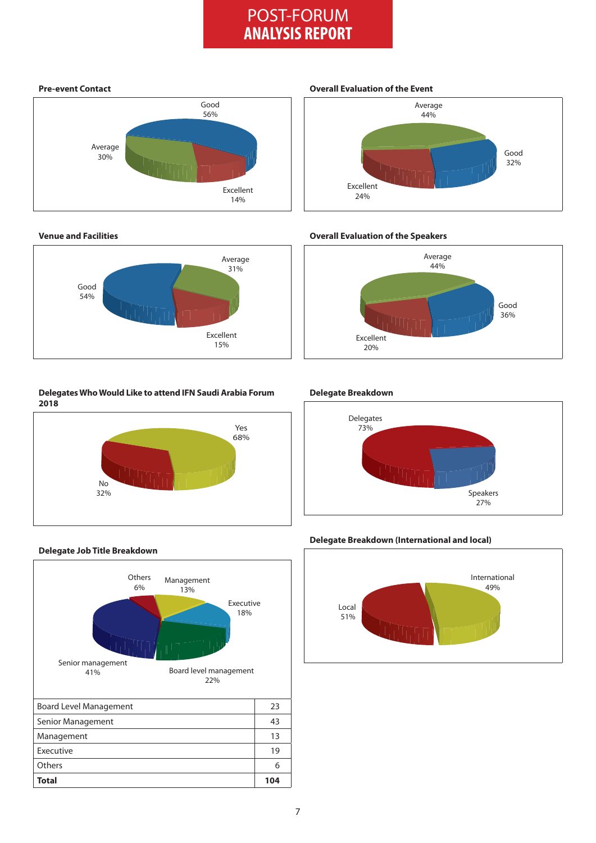### **Pre-event Contact**



### **Venue and Facilities**



### **Delegates Who Would Like to attend IFN Saudi Arabia Forum 2018**



### **Overall Evaluation of the Event**



### **Overall Evaluation of the Speakers**



### **Delegate Breakdown**



### **Delegate Breakdown (International and local)**



### **Delegate Job Title Breakdown**

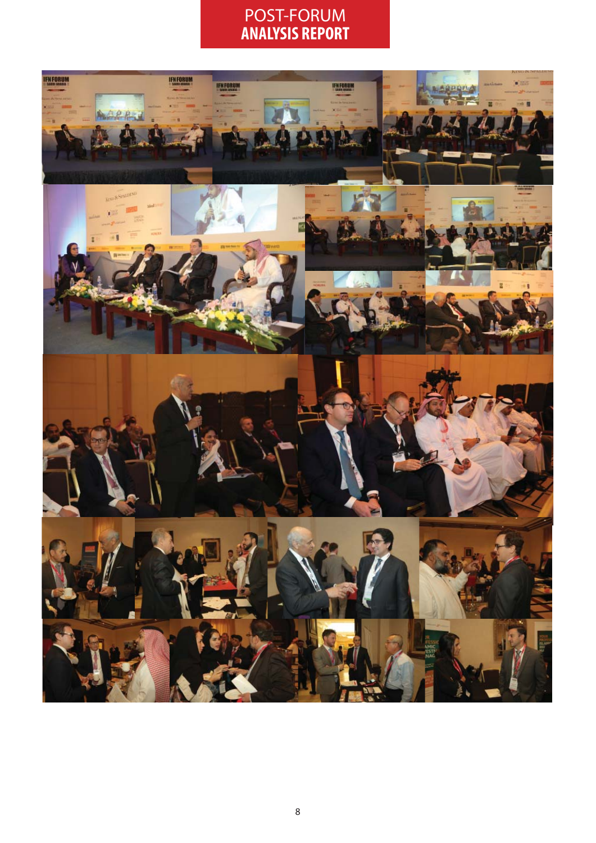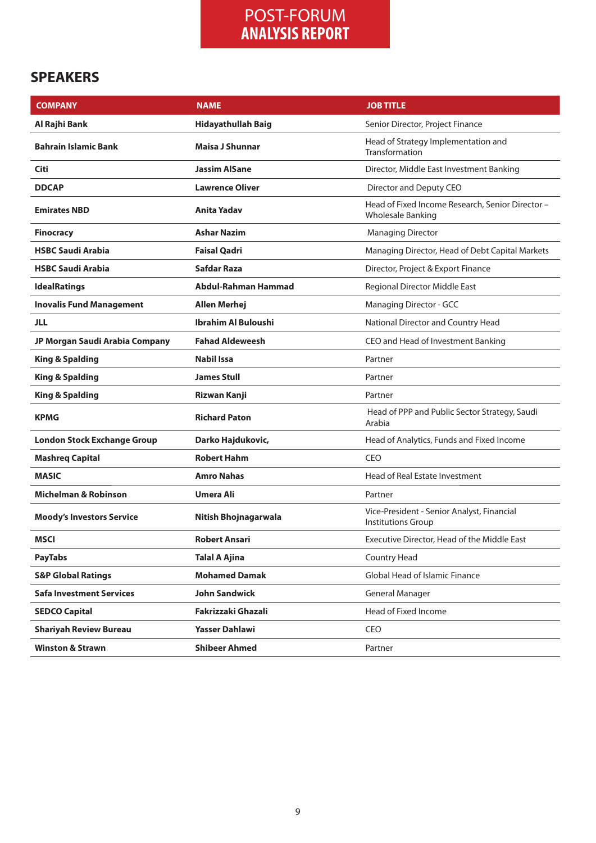### **SPEAKERS**

| <b>COMPANY</b>                     | <b>NAME</b>                | <b>JOB TITLE</b>                                                             |
|------------------------------------|----------------------------|------------------------------------------------------------------------------|
| Al Rajhi Bank                      | <b>Hidayathullah Baig</b>  | Senior Director, Project Finance                                             |
| <b>Bahrain Islamic Bank</b>        | <b>Maisa J Shunnar</b>     | Head of Strategy Implementation and<br>Transformation                        |
| Citi                               | <b>Jassim AlSane</b>       | Director, Middle East Investment Banking                                     |
| <b>DDCAP</b>                       | <b>Lawrence Oliver</b>     | Director and Deputy CEO                                                      |
| <b>Emirates NBD</b>                | Anita Yadav                | Head of Fixed Income Research, Senior Director -<br><b>Wholesale Banking</b> |
| <b>Finocracy</b>                   | <b>Ashar Nazim</b>         | <b>Managing Director</b>                                                     |
| <b>HSBC Saudi Arabia</b>           | <b>Faisal Qadri</b>        | Managing Director, Head of Debt Capital Markets                              |
| <b>HSBC Saudi Arabia</b>           | <b>Safdar Raza</b>         | Director, Project & Export Finance                                           |
| <b>IdealRatings</b>                | Abdul-Rahman Hammad        | Regional Director Middle East                                                |
| <b>Inovalis Fund Management</b>    | Allen Merhej               | Managing Director - GCC                                                      |
| JLL                                | <b>Ibrahim Al Buloushi</b> | National Director and Country Head                                           |
| JP Morgan Saudi Arabia Company     | <b>Fahad Aldeweesh</b>     | CEO and Head of Investment Banking                                           |
| <b>King &amp; Spalding</b>         | <b>Nabil Issa</b>          | Partner                                                                      |
| <b>King &amp; Spalding</b>         | <b>James Stull</b>         | Partner                                                                      |
| <b>King &amp; Spalding</b>         | <b>Rizwan Kanji</b>        | Partner                                                                      |
| <b>KPMG</b>                        | <b>Richard Paton</b>       | Head of PPP and Public Sector Strategy, Saudi<br>Arabia                      |
| <b>London Stock Exchange Group</b> | Darko Hajdukovic,          | Head of Analytics, Funds and Fixed Income                                    |
| <b>Mashreq Capital</b>             | <b>Robert Hahm</b>         | CEO                                                                          |
| <b>MASIC</b>                       | <b>Amro Nahas</b>          | Head of Real Estate Investment                                               |
| <b>Michelman &amp; Robinson</b>    | Umera Ali                  | Partner                                                                      |
| <b>Moody's Investors Service</b>   | Nitish Bhojnagarwala       | Vice-President - Senior Analyst, Financial<br><b>Institutions Group</b>      |
| MSCI                               | <b>Robert Ansari</b>       | Executive Director, Head of the Middle East                                  |
| <b>PayTabs</b>                     | <b>Talal A Ajina</b>       | <b>Country Head</b>                                                          |
| <b>S&amp;P Global Ratings</b>      | <b>Mohamed Damak</b>       | Global Head of Islamic Finance                                               |
| <b>Safa Investment Services</b>    | <b>John Sandwick</b>       | <b>General Manager</b>                                                       |
| <b>SEDCO Capital</b>               | Fakrizzaki Ghazali         | Head of Fixed Income                                                         |
| <b>Shariyah Review Bureau</b>      | <b>Yasser Dahlawi</b>      | <b>CEO</b>                                                                   |
| <b>Winston &amp; Strawn</b>        | <b>Shibeer Ahmed</b>       | Partner                                                                      |